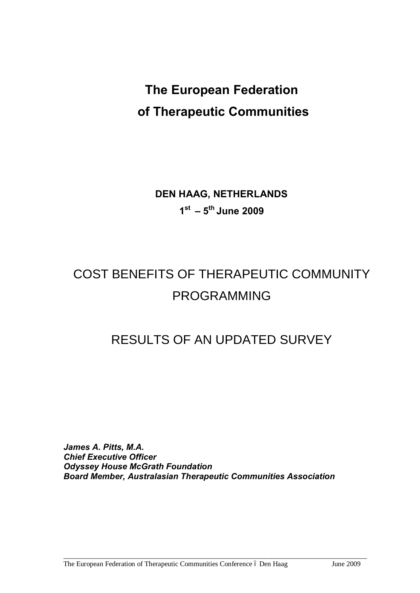# **The European Federation of Therapeutic Communities**

**DEN HAAG, NETHERLANDS 1st – 5th June 2009**

# COST BENEFITS OF THERAPEUTIC COMMUNITY PROGRAMMING

# RESULTS OF AN UPDATED SURVEY

*James A. Pitts, M.A. Chief Executive Officer Odyssey House McGrath Foundation Board Member, Australasian Therapeutic Communities Association*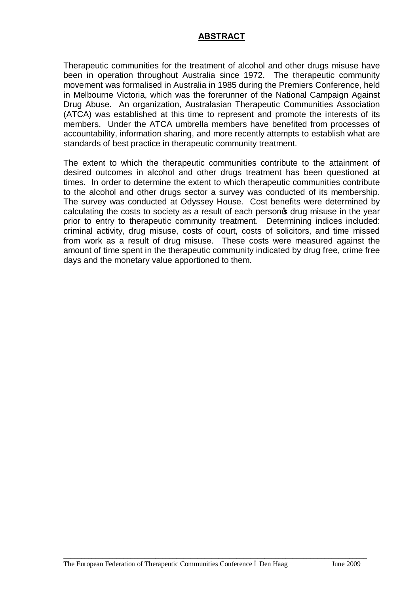### **ABSTRACT**

Therapeutic communities for the treatment of alcohol and other drugs misuse have been in operation throughout Australia since 1972. The therapeutic community movement was formalised in Australia in 1985 during the Premiers Conference, held in Melbourne Victoria, which was the forerunner of the National Campaign Against Drug Abuse. An organization, Australasian Therapeutic Communities Association (ATCA) was established at this time to represent and promote the interests of its members. Under the ATCA umbrella members have benefited from processes of accountability, information sharing, and more recently attempts to establish what are standards of best practice in therapeutic community treatment.

The extent to which the therapeutic communities contribute to the attainment of desired outcomes in alcohol and other drugs treatment has been questioned at times. In order to determine the extent to which therapeutic communities contribute to the alcohol and other drugs sector a survey was conducted of its membership. The survey was conducted at Odyssey House. Cost benefits were determined by calculating the costs to society as a result of each personos drug misuse in the year prior to entry to therapeutic community treatment. Determining indices included: criminal activity, drug misuse, costs of court, costs of solicitors, and time missed from work as a result of drug misuse. These costs were measured against the amount of time spent in the therapeutic community indicated by drug free, crime free days and the monetary value apportioned to them.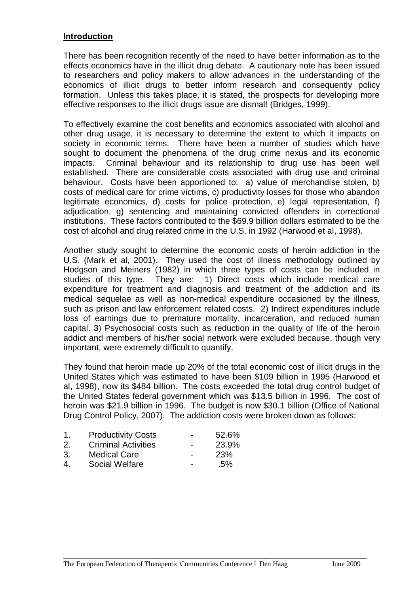#### **Introduction**

There has been recognition recently of the need to have better information as to the effects economics have in the illicit drug debate. A cautionary note has been issued to researchers and policy makers to allow advances in the understanding of the economics of illicit drugs to better inform research and consequently policy formation. Unless this takes place, it is stated, the prospects for developing more effective responses to the illicit drugs issue are dismal! (Bridges, 1999).

To effectively examine the cost benefits and economics associated with alcohol and other drug usage, it is necessary to determine the extent to which it impacts on society in economic terms. There have been a number of studies which have sought to document the phenomena of the drug crime nexus and its economic impacts. Criminal behaviour and its relationship to drug use has been well established. There are considerable costs associated with drug use and criminal behaviour. Costs have been apportioned to: a) value of merchandise stolen, b) costs of medical care for crime victims, c) productivity losses for those who abandon legitimate economics, d) costs for police protection, e) legal representation, f) adjudication, g) sentencing and maintaining convicted offenders in correctional institutions. These factors contributed to the \$69.9 billion dollars estimated to be the cost of alcohol and drug related crime in the U.S. in 1992 (Harwood et al, 1998).

Another study sought to determine the economic costs of heroin addiction in the U.S. (Mark et al, 2001). They used the cost of illness methodology outlined by Hodgson and Meiners (1982) in which three types of costs can be included in studies of this type. They are: 1) Direct costs which include medical care expenditure for treatment and diagnosis and treatment of the addiction and its medical sequelae as well as non-medical expenditure occasioned by the illness, such as prison and law enforcement related costs. 2) Indirect expenditures include loss of earnings due to premature mortality, incarceration, and reduced human capital. 3) Psychosocial costs such as reduction in the quality of life of the heroin addict and members of his/her social network were excluded because, though very important, were extremely difficult to quantify.

They found that heroin made up 20% of the total economic cost of illicit drugs in the United States which was estimated to have been \$109 billion in 1995 (Harwood et al, 1998), now its \$484 billion. The costs exceeded the total drug control budget of the United States federal government which was \$13.5 billion in 1996. The cost of heroin was \$21.9 billion in 1996. The budget is now \$30.1 billion (Office of National Drug Control Policy, 2007). The addiction costs were broken down as follows:

| 1  | <b>Productivity Costs</b>  | $\overline{\phantom{0}}$ | 52.6% |
|----|----------------------------|--------------------------|-------|
| 2. | <b>Criminal Activities</b> | $\overline{\phantom{0}}$ | 23.9% |
| 3. | <b>Medical Care</b>        | $\overline{\phantom{0}}$ | 23%   |
| 4  | Social Welfare             | $\overline{\phantom{0}}$ | .5%   |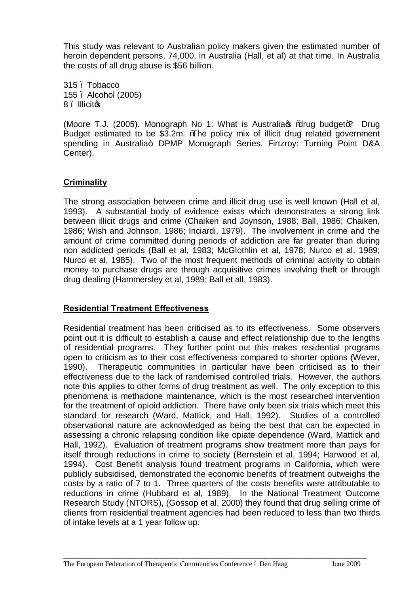This study was relevant to Australian policy makers given the estimated number of heroin dependent persons, 74,000, in Australia (Hall, et al) at that time. In Australia the costs of all drug abuse is \$56 billion.

315 – Tobacco 155 – Alcohol (2005) 8. Illicitos

(Moore T.J. (2005). Monograph No 1: What is Australia of % a budget+? Drug Budget estimated to be \$3.2m. %The policy mix of illicit drug related government spending in Australia+. DPMP Monograph Series. Firtzroy: Turning Point D&A Center).

#### **Criminality**

The strong association between crime and illicit drug use is well known (Hall et al, 1993). A substantial body of evidence exists which demonstrates a strong link between illicit drugs and crime (Chaiken and Joynson, 1988; Ball, 1986; Chaiken, 1986; Wish and Johnson, 1986; Inciardi, 1979). The involvement in crime and the amount of crime committed during periods of addiction are far greater than during non addicted periods (Ball et al, 1983; McGlothlin et al, 1978; Nurco et al, 1989; Nurco et al, 1985). Two of the most frequent methods of criminal activity to obtain money to purchase drugs are through acquisitive crimes involving theft or through drug dealing (Hammersley et al, 1989; Ball et all, 1983).

#### **Residential Treatment Effectiveness**

Residential treatment has been criticised as to its effectiveness. Some observers point out it is difficult to establish a cause and effect relationship due to the lengths of residential programs. They further point out this makes residential programs open to criticism as to their cost effectiveness compared to shorter options (Wever, 1990). Therapeutic communities in particular have been criticised as to their effectiveness due to the lack of randomised controlled trials. However, the authors note this applies to other forms of drug treatment as well. The only exception to this phenomena is methadone maintenance, which is the most researched intervention for the treatment of opioid addiction. There have only been six trials which meet this standard for research (Ward, Mattick, and Hall, 1992). Studies of a controlled observational nature are acknowledged as being the best that can be expected in assessing a chronic relapsing condition like opiate dependence (Ward, Mattick and Hall, 1992). Evaluation of treatment programs show treatment more than pays for itself through reductions in crime to society (Bernstein et al, 1994; Harwood et al, 1994). Cost Benefit analysis found treatment programs in California, which were publicly subsidised, demonstrated the economic benefits of treatment outweighs the costs by a ratio of 7 to 1. Three quarters of the costs benefits were attributable to reductions in crime (Hubbard et al, 1989). In the National Treatment Outcome Research Study (NTORS), (Gossop et al, 2000) they found that drug selling crime of clients from residential treatment agencies had been reduced to less than two thirds of intake levels at a 1 year follow up.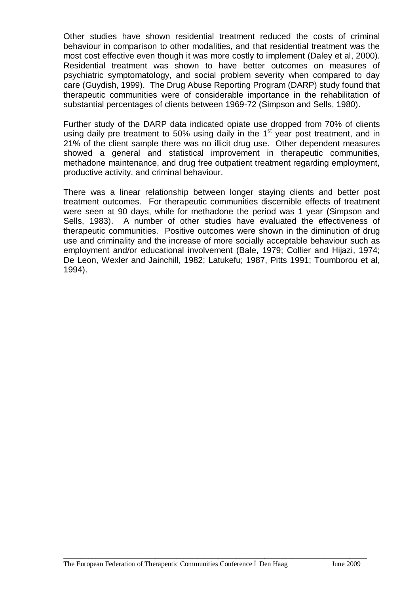Other studies have shown residential treatment reduced the costs of criminal behaviour in comparison to other modalities, and that residential treatment was the most cost effective even though it was more costly to implement (Daley et al, 2000). Residential treatment was shown to have better outcomes on measures of psychiatric symptomatology, and social problem severity when compared to day care (Guydish, 1999). The Drug Abuse Reporting Program (DARP) study found that therapeutic communities were of considerable importance in the rehabilitation of substantial percentages of clients between 1969-72 (Simpson and Sells, 1980).

Further study of the DARP data indicated opiate use dropped from 70% of clients using daily pre treatment to 50% using daily in the 1<sup>st</sup> year post treatment, and in 21% of the client sample there was no illicit drug use. Other dependent measures showed a general and statistical improvement in therapeutic communities, methadone maintenance, and drug free outpatient treatment regarding employment, productive activity, and criminal behaviour.

There was a linear relationship between longer staying clients and better post treatment outcomes. For therapeutic communities discernible effects of treatment were seen at 90 days, while for methadone the period was 1 year (Simpson and Sells, 1983). A number of other studies have evaluated the effectiveness of therapeutic communities. Positive outcomes were shown in the diminution of drug use and criminality and the increase of more socially acceptable behaviour such as employment and/or educational involvement (Bale, 1979; Collier and Hijazi, 1974; De Leon, Wexler and Jainchill, 1982; Latukefu; 1987, Pitts 1991; Toumborou et al, 1994).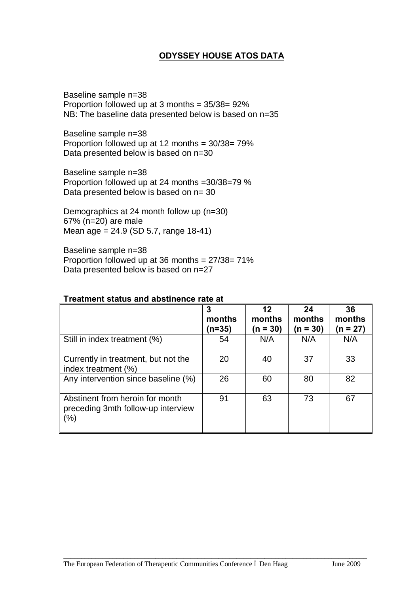# **ODYSSEY HOUSE ATOS DATA**

Baseline sample n=38 Proportion followed up at 3 months = 35/38= 92% NB: The baseline data presented below is based on n=35

Baseline sample n=38 Proportion followed up at 12 months = 30/38= 79% Data presented below is based on n=30

Baseline sample n=38 Proportion followed up at 24 months =30/38=79 % Data presented below is based on  $n=30$ 

Demographics at 24 month follow up (n=30) 67% (n=20) are male Mean age = 24.9 (SD 5.7, range 18-41)

Baseline sample n=38 Proportion followed up at 36 months = 27/38= 71% Data presented below is based on n=27

|                                                                              | 3<br>months<br>(n=35) | 12<br>months<br>$(n = 30)$ | 24<br>months<br>$(n = 30)$ | 36<br>months<br>$(n = 27)$ |
|------------------------------------------------------------------------------|-----------------------|----------------------------|----------------------------|----------------------------|
| Still in index treatment (%)                                                 | 54                    | N/A                        | N/A                        | N/A                        |
| Currently in treatment, but not the<br>index treatment (%)                   | 20                    | 40                         | 37                         | 33                         |
| Any intervention since baseline (%)                                          | 26                    | 60                         | 80                         | 82                         |
| Abstinent from heroin for month<br>preceding 3mth follow-up interview<br>(%) | 91                    | 63                         | 73                         | 67                         |

\_\_\_\_\_\_\_\_\_\_\_\_\_\_\_\_\_\_\_\_\_\_\_\_\_\_\_\_\_\_\_\_\_\_\_\_\_\_\_\_\_\_\_\_\_\_\_\_\_\_\_\_\_\_\_\_\_\_\_\_\_\_\_\_\_\_\_\_\_\_\_\_\_\_\_\_\_\_\_\_\_\_\_\_\_\_

#### **Treatment status and abstinence rate at**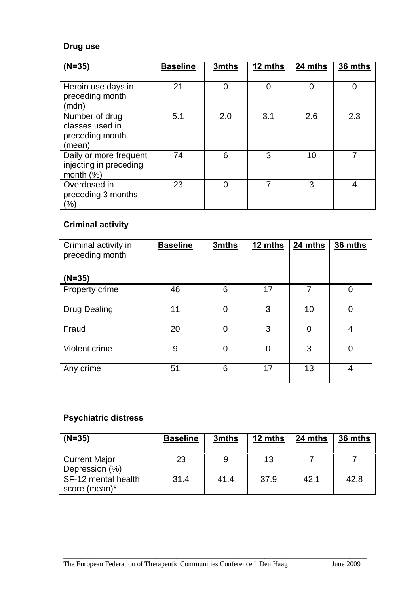# **Drug use**

| $(N=35)$                                                         | <b>Baseline</b> | 3mths | 12 mths | 24 mths | 36 mths |
|------------------------------------------------------------------|-----------------|-------|---------|---------|---------|
| Heroin use days in<br>preceding month<br>(mdn)                   | 21              |       | 0       | 0       | 0       |
| Number of drug<br>classes used in<br>preceding month<br>(mean)   | 5.1             | 2.0   | 3.1     | 2.6     | 2.3     |
| Daily or more frequent<br>injecting in preceding<br>month $(\%)$ | 74              | 6     | 3       | 10      | 7       |
| Overdosed in<br>preceding 3 months<br>(%)                        | 23              |       |         | 3       | 4       |

# **Criminal activity**

| Criminal activity in<br>preceding month<br>$(N=35)$ | <b>Baseline</b> | 3mths | 12 mths | 24 mths | 36 mths |
|-----------------------------------------------------|-----------------|-------|---------|---------|---------|
| Property crime                                      | 46              | 6     | 17      | 7       |         |
| <b>Drug Dealing</b>                                 | 11              | 0     | 3       | 10      | ∩       |
| Fraud                                               | 20              | ∩     | 3       | 0       | 4       |
| Violent crime                                       | 9               | ∩     | ∩       | 3       | 0       |
| Any crime                                           | 51              | 6     | 17      | 13      | 4       |

# **Psychiatric distress**

| $(N=35)$                               | <b>Baseline</b> | 3mths | 12 mths | 24 mths | 36 mths |
|----------------------------------------|-----------------|-------|---------|---------|---------|
| <b>Current Major</b><br>Depression (%) | 23              |       | 13      |         |         |
| SF-12 mental health<br>score (mean)*   | 31.4            | 41.4  | 37.9    | 42.1    | 42.8    |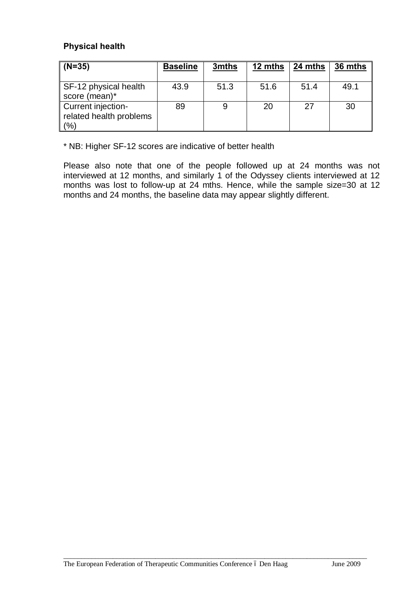# **Physical health**

| $ $ (N=35)                                               | <b>Baseline</b> | 3mths | 12 mths | 24 mths | 36 mths |
|----------------------------------------------------------|-----------------|-------|---------|---------|---------|
| SF-12 physical health<br>score (mean)*                   | 43.9            | 51.3  | 51.6    | 51.4    | 49.1    |
| Current injection-<br>related health problems<br>$(\% )$ | 89              |       | 20      | 27      | 30      |

\* NB: Higher SF-12 scores are indicative of better health

Please also note that one of the people followed up at 24 months was not interviewed at 12 months, and similarly 1 of the Odyssey clients interviewed at 12 months was lost to follow-up at 24 mths. Hence, while the sample size=30 at 12 months and 24 months, the baseline data may appear slightly different.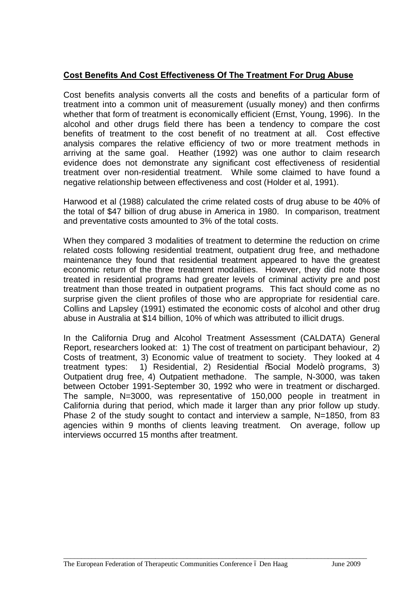## **Cost Benefits And Cost Effectiveness Of The Treatment For Drug Abuse**

Cost benefits analysis converts all the costs and benefits of a particular form of treatment into a common unit of measurement (usually money) and then confirms whether that form of treatment is economically efficient (Ernst, Young, 1996). In the alcohol and other drugs field there has been a tendency to compare the cost benefits of treatment to the cost benefit of no treatment at all. Cost effective analysis compares the relative efficiency of two or more treatment methods in arriving at the same goal. Heather (1992) was one author to claim research evidence does not demonstrate any significant cost effectiveness of residential treatment over non-residential treatment. While some claimed to have found a negative relationship between effectiveness and cost (Holder et al, 1991).

Harwood et al (1988) calculated the crime related costs of drug abuse to be 40% of the total of \$47 billion of drug abuse in America in 1980. In comparison, treatment and preventative costs amounted to 3% of the total costs.

When they compared 3 modalities of treatment to determine the reduction on crime related costs following residential treatment, outpatient drug free, and methadone maintenance they found that residential treatment appeared to have the greatest economic return of the three treatment modalities. However, they did note those treated in residential programs had greater levels of criminal activity pre and post treatment than those treated in outpatient programs. This fact should come as no surprise given the client profiles of those who are appropriate for residential care. Collins and Lapsley (1991) estimated the economic costs of alcohol and other drug abuse in Australia at \$14 billion, 10% of which was attributed to illicit drugs.

In the California Drug and Alcohol Treatment Assessment (CALDATA) General Report, researchers looked at: 1) The cost of treatment on participant behaviour, 2) Costs of treatment, 3) Economic value of treatment to society. They looked at 4 treatment types: 1) Residential, 2) Residential %Social Model+ programs, 3) Outpatient drug free, 4) Outpatient methadone. The sample, N-3000, was taken between October 1991-September 30, 1992 who were in treatment or discharged. The sample, N=3000, was representative of 150,000 people in treatment in California during that period, which made it larger than any prior follow up study. Phase 2 of the study sought to contact and interview a sample, N=1850, from 83 agencies within 9 months of clients leaving treatment. On average, follow up interviews occurred 15 months after treatment.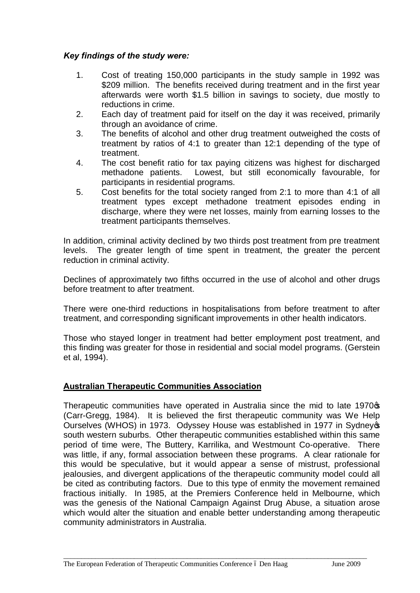# *Key findings of the study were:*

- 1. Cost of treating 150,000 participants in the study sample in 1992 was \$209 million. The benefits received during treatment and in the first year afterwards were worth \$1.5 billion in savings to society, due mostly to reductions in crime.
- 2. Each day of treatment paid for itself on the day it was received, primarily through an avoidance of crime.
- 3. The benefits of alcohol and other drug treatment outweighed the costs of treatment by ratios of 4:1 to greater than 12:1 depending of the type of treatment.
- 4. The cost benefit ratio for tax paying citizens was highest for discharged methadone patients. Lowest, but still economically favourable, for participants in residential programs.
- 5. Cost benefits for the total society ranged from 2:1 to more than 4:1 of all treatment types except methadone treatment episodes ending in discharge, where they were net losses, mainly from earning losses to the treatment participants themselves.

In addition, criminal activity declined by two thirds post treatment from pre treatment levels. The greater length of time spent in treatment, the greater the percent reduction in criminal activity.

Declines of approximately two fifths occurred in the use of alcohol and other drugs before treatment to after treatment.

There were one-third reductions in hospitalisations from before treatment to after treatment, and corresponding significant improvements in other health indicators.

Those who stayed longer in treatment had better employment post treatment, and this finding was greater for those in residential and social model programs. (Gerstein et al, 1994).

# **Australian Therapeutic Communities Association**

Therapeutic communities have operated in Australia since the mid to late 1970<sup>\$</sup> (Carr-Gregg, 1984). It is believed the first therapeutic community was We Help Ourselves (WHOS) in 1973. Odyssey House was established in 1977 in Sydney opsouth western suburbs. Other therapeutic communities established within this same period of time were, The Buttery, Karrilika, and Westmount Co-operative. There was little, if any, formal association between these programs. A clear rationale for this would be speculative, but it would appear a sense of mistrust, professional jealousies, and divergent applications of the therapeutic community model could all be cited as contributing factors. Due to this type of enmity the movement remained fractious initially. In 1985, at the Premiers Conference held in Melbourne, which was the genesis of the National Campaign Against Drug Abuse, a situation arose which would alter the situation and enable better understanding among therapeutic community administrators in Australia.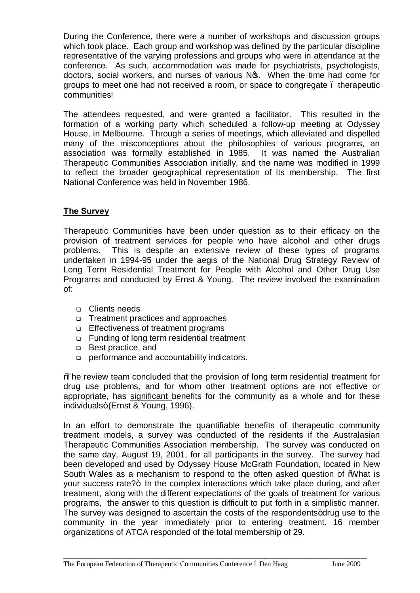During the Conference, there were a number of workshops and discussion groups which took place. Each group and workshop was defined by the particular discipline representative of the varying professions and groups who were in attendance at the conference. As such, accommodation was made for psychiatrists, psychologists, doctors, social workers, and nurses of various No. When the time had come for groups to meet one had not received a room, or space to congregate – therapeutic communities!

The attendees requested, and were granted a facilitator. This resulted in the formation of a working party which scheduled a follow-up meeting at Odyssey House, in Melbourne. Through a series of meetings, which alleviated and dispelled many of the misconceptions about the philosophies of various programs, an association was formally established in 1985. It was named the Australian Therapeutic Communities Association initially, and the name was modified in 1999 to reflect the broader geographical representation of its membership. The first National Conference was held in November 1986.

# **The Survey**

Therapeutic Communities have been under question as to their efficacy on the provision of treatment services for people who have alcohol and other drugs problems. This is despite an extensive review of these types of programs undertaken in 1994-95 under the aegis of the National Drug Strategy Review of Long Term Residential Treatment for People with Alcohol and Other Drug Use Programs and conducted by Ernst & Young. The review involved the examination of:

- <sup>q</sup> Clients needs
- <sup>q</sup> Treatment practices and approaches
- <sup>q</sup> Effectiveness of treatment programs
- <sup>q</sup> Funding of long term residential treatment
- <sup>q</sup> Best practice, and
- <sup>q</sup> performance and accountability indicators.

"The review team concluded that the provision of long term residential treatment for drug use problems, and for whom other treatment options are not effective or appropriate, has significant benefits for the community as a whole and for these individuals+ (Ernst & Young, 1996).

In an effort to demonstrate the quantifiable benefits of therapeutic community treatment models, a survey was conducted of the residents if the Australasian Therapeutic Communities Association membership. The survey was conducted on the same day, August 19, 2001, for all participants in the survey. The survey had been developed and used by Odyssey House McGrath Foundation, located in New South Wales as a mechanism to respond to the often asked question of "What is your success rate?+ In the complex interactions which take place during, and after treatment, along with the different expectations of the goals of treatment for various programs, the answer to this question is difficult to put forth in a simplistic manner. The survey was designed to ascertain the costs of the respondents adrug use to the community in the year immediately prior to entering treatment. 16 member organizations of ATCA responded of the total membership of 29.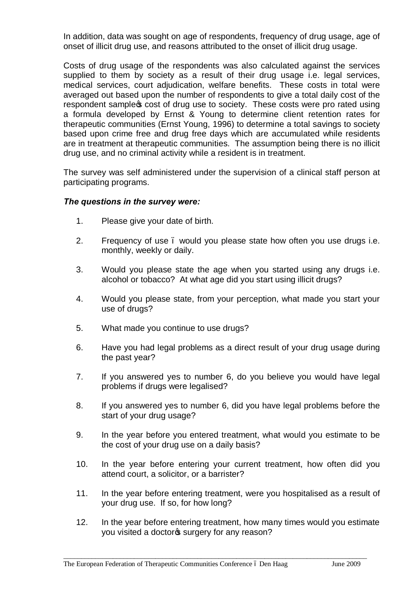In addition, data was sought on age of respondents, frequency of drug usage, age of onset of illicit drug use, and reasons attributed to the onset of illicit drug usage.

Costs of drug usage of the respondents was also calculated against the services supplied to them by society as a result of their drug usage i.e. legal services, medical services, court adjudication, welfare benefits. These costs in total were averaged out based upon the number of respondents to give a total daily cost of the respondent sample to cost of drug use to society. These costs were pro rated using a formula developed by Ernst & Young to determine client retention rates for therapeutic communities (Ernst Young, 1996) to determine a total savings to society based upon crime free and drug free days which are accumulated while residents are in treatment at therapeutic communities. The assumption being there is no illicit drug use, and no criminal activity while a resident is in treatment.

The survey was self administered under the supervision of a clinical staff person at participating programs.

#### *The questions in the survey were:*

- 1. Please give your date of birth.
- 2. Frequency of use . would you please state how often you use drugs i.e. monthly, weekly or daily.
- 3. Would you please state the age when you started using any drugs i.e. alcohol or tobacco? At what age did you start using illicit drugs?
- 4. Would you please state, from your perception, what made you start your use of drugs?
- 5. What made you continue to use drugs?
- 6. Have you had legal problems as a direct result of your drug usage during the past year?
- 7. If you answered yes to number 6, do you believe you would have legal problems if drugs were legalised?
- 8. If you answered yes to number 6, did you have legal problems before the start of your drug usage?
- 9. In the year before you entered treatment, what would you estimate to be the cost of your drug use on a daily basis?
- 10. In the year before entering your current treatment, how often did you attend court, a solicitor, or a barrister?
- 11. In the year before entering treatment, were you hospitalised as a result of your drug use. If so, for how long?
- 12. In the year before entering treatment, how many times would you estimate you visited a doctor<sup>®</sup> surgery for any reason?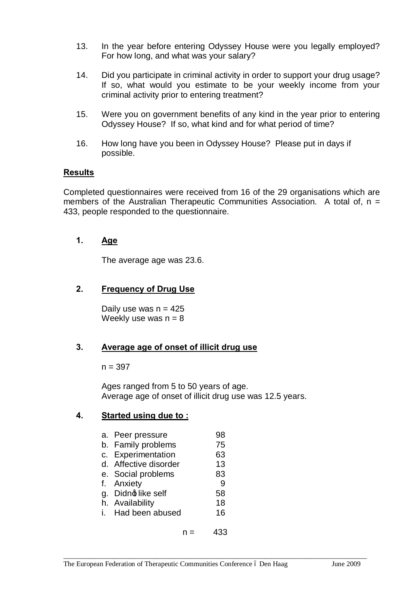- 13. In the year before entering Odyssey House were you legally employed? For how long, and what was your salary?
- 14. Did you participate in criminal activity in order to support your drug usage? If so, what would you estimate to be your weekly income from your criminal activity prior to entering treatment?
- 15. Were you on government benefits of any kind in the year prior to entering Odyssey House? If so, what kind and for what period of time?
- 16. How long have you been in Odyssey House? Please put in days if possible.

#### **Results**

Completed questionnaires were received from 16 of the 29 organisations which are members of the Australian Therapeutic Communities Association. A total of,  $n =$ 433, people responded to the questionnaire.

#### **1. Age**

The average age was 23.6.

#### **2. Frequency of Drug Use**

Daily use was  $n = 425$ Weekly use was  $n = 8$ 

#### **3. Average age of onset of illicit drug use**

 $n = 397$ 

Ages ranged from 5 to 50 years of age. Average age of onset of illicit drug use was 12.5 years.

 $n = 433$ 

# **4. Started using due to :**

| a. Peer pressure      | 98 |
|-----------------------|----|
| b. Family problems    | 75 |
| c. Experimentation    | 63 |
| d. Affective disorder | 13 |
| e. Social problems    | 83 |
| f. Anxiety            | 9  |
| g. Didno like self    | 58 |
| h. Availability       | 18 |
| i. Had been abused    | 16 |
|                       |    |
|                       |    |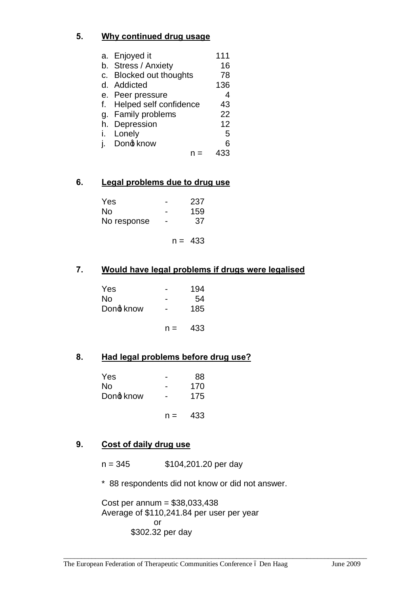# **5. Why continued drug usage**

|    | a. Enjoyed it             | 111 |
|----|---------------------------|-----|
|    | b. Stress / Anxiety       | 16  |
|    | c. Blocked out thoughts   | 78  |
| d. | Addicted                  | 136 |
|    | e. Peer pressure          | 4   |
|    | f. Helped self confidence | 43  |
|    | g. Family problems        | 22  |
| h. | Depression                | 12  |
| i. | Lonely                    | 5   |
|    | Dong know                 | 6   |
|    |                           |     |

# **6. Legal problems due to drug use**

| <b>Yes</b>  |   | 237 |
|-------------|---|-----|
| No.         |   | 159 |
| No response | - | 37  |

$$
n = 433
$$

# **7. Would have legal problems if drugs were legalised**

| Yes<br>No |       | 194<br>54 |
|-----------|-------|-----------|
| Dong know |       | 185       |
|           | $n =$ | 433       |

#### **8. Had legal problems before drug use?**

| Yes<br>No |       | 88<br>170 |
|-----------|-------|-----------|
| Dong know |       | 175       |
|           | $n =$ | 433       |

# **9. Cost of daily drug use**

n = 345 \$104,201.20 per day

\* 88 respondents did not know or did not answer.

\_\_\_\_\_\_\_\_\_\_\_\_\_\_\_\_\_\_\_\_\_\_\_\_\_\_\_\_\_\_\_\_\_\_\_\_\_\_\_\_\_\_\_\_\_\_\_\_\_\_\_\_\_\_\_\_\_\_\_\_\_\_\_\_\_\_\_\_\_\_\_\_\_\_\_\_\_\_\_\_\_\_\_\_\_\_

Cost per annum = \$38,033,438 Average of \$110,241.84 per user per year or \$302.32 per day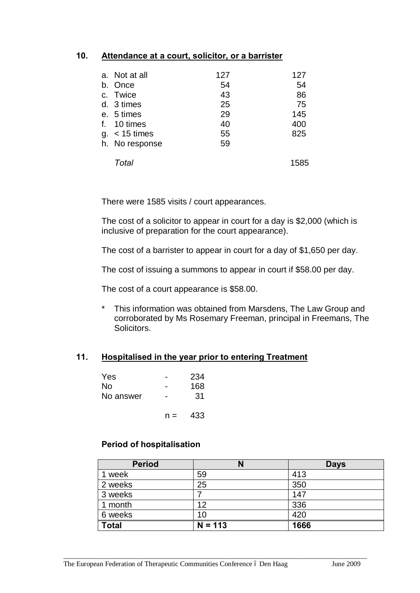#### **10. Attendance at a court, solicitor, or a barrister**

| a. Not at all   | 127 | 127  |
|-----------------|-----|------|
| b. Once         | 54  | 54   |
| c. Twice        | 43  | 86   |
| d. 3 times      | 25  | 75   |
| e. 5 times      | 29  | 145  |
| f. 10 times     | 40  | 400  |
| $g. < 15$ times | 55  | 825  |
| h. No response  | 59  |      |
| Total           |     | 1585 |

There were 1585 visits / court appearances.

The cost of a solicitor to appear in court for a day is \$2,000 (which is inclusive of preparation for the court appearance).

The cost of a barrister to appear in court for a day of \$1,650 per day.

The cost of issuing a summons to appear in court if \$58.00 per day.

The cost of a court appearance is \$58.00.

\* This information was obtained from Marsdens, The Law Group and corroborated by Ms Rosemary Freeman, principal in Freemans, The Solicitors.

#### **11. Hospitalised in the year prior to entering Treatment**

| Yes       |       | 234 |
|-----------|-------|-----|
| <b>No</b> |       | 168 |
| No answer |       | 31  |
|           | $n =$ | 433 |

#### **Period of hospitalisation**

| <b>Period</b> | N         | <b>Days</b> |
|---------------|-----------|-------------|
| week          | 59        | 413         |
| 2 weeks       | 25        | 350         |
| 3 weeks       |           | 147         |
| 1 month       | 12        | 336         |
| 6 weeks       | 10        | 420         |
| <b>Total</b>  | $N = 113$ | 1666        |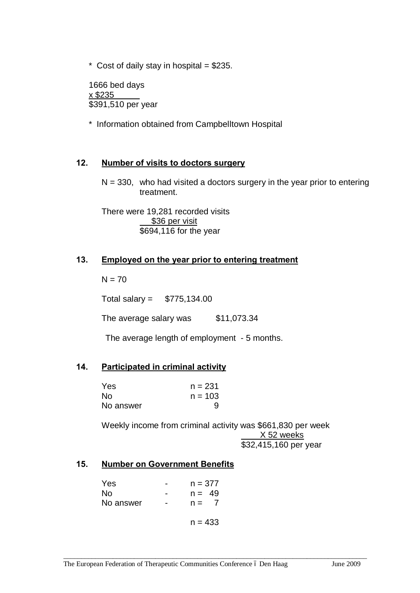$*$  Cost of daily stay in hospital = \$235.

1666 bed days x \$235 \$391,510 per year

\* Information obtained from Campbelltown Hospital

#### **12. Number of visits to doctors surgery**

 $N = 330$ , who had visited a doctors surgery in the year prior to entering treatment.

There were 19,281 recorded visits \$36 per visit \$694,116 for the year

#### **13. Employed on the year prior to entering treatment**

 $N = 70$ 

Total salary = \$775,134.00

The average salary was \$11,073.34

The average length of employment - 5 months.

#### **14. Participated in criminal activity**

| Yes       | $n = 231$ |
|-----------|-----------|
| No.       | $n = 103$ |
| No answer | 9         |

Weekly income from criminal activity was \$661,830 per week X 52 weeks \$32,415,160 per year

\_\_\_\_\_\_\_\_\_\_\_\_\_\_\_\_\_\_\_\_\_\_\_\_\_\_\_\_\_\_\_\_\_\_\_\_\_\_\_\_\_\_\_\_\_\_\_\_\_\_\_\_\_\_\_\_\_\_\_\_\_\_\_\_\_\_\_\_\_\_\_\_\_\_\_\_\_\_\_\_\_\_\_\_\_\_

#### **15. Number on Government Benefits**

| Yes       | $n = 377$ |
|-----------|-----------|
| No.       | $n = 49$  |
| No answer | $n =$     |
|           | $n = 433$ |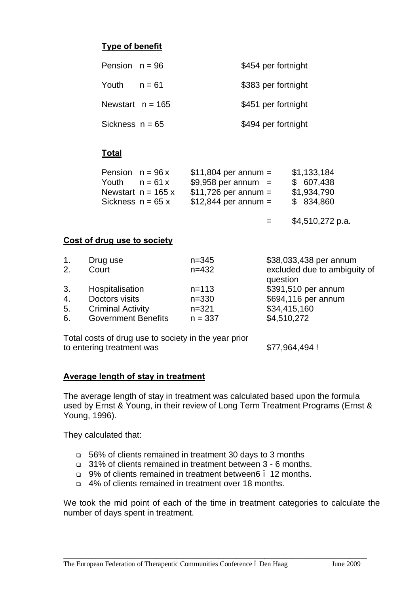# **Type of benefit**

| Pension $n = 96$  |                    | \$454 per fortnight |
|-------------------|--------------------|---------------------|
| Youth             | $n = 61$           | \$383 per fortnight |
|                   | Newstart $n = 165$ | \$451 per fortnight |
| Sickness $n = 65$ |                    | \$494 per fortnight |

# **Total**

 $=$  \$4.510.272 p.a.

#### **Cost of drug use to society**

| 1. | Drug use                   | $n = 345$ | \$38,033,438 per annum       |
|----|----------------------------|-----------|------------------------------|
| 2. | Court                      | $n = 432$ | excluded due to ambiguity of |
|    |                            |           | question                     |
| 3. | Hospitalisation            | $n = 113$ | \$391,510 per annum          |
| 4. | Doctors visits             | $n = 330$ | \$694,116 per annum          |
| 5. | <b>Criminal Activity</b>   | $n = 321$ | \$34,415,160                 |
| 6. | <b>Government Benefits</b> | $n = 337$ | \$4,510,272                  |

Total costs of drug use to society in the year prior to entering treatment was  $$77,964,494$ !

#### **Average length of stay in treatment**

The average length of stay in treatment was calculated based upon the formula used by Ernst & Young, in their review of Long Term Treatment Programs (Ernst & Young, 1996).

They calculated that:

- <sup>q</sup> 56% of clients remained in treatment 30 days to 3 months
- <sup>q</sup> 31% of clients remained in treatment between 3 6 months.
- <sup>q</sup> 9% of clients remained in treatment between6 12 months.
- q 4% of clients remained in treatment over 18 months.

We took the mid point of each of the time in treatment categories to calculate the number of days spent in treatment.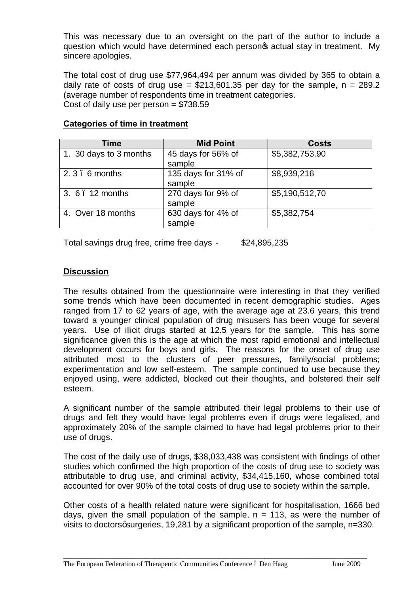This was necessary due to an oversight on the part of the author to include a question which would have determined each personot actual stay in treatment. My sincere apologies.

The total cost of drug use \$77,964,494 per annum was divided by 365 to obtain a daily rate of costs of drug use =  $$213,601.35$  per day for the sample, n = 289.2 (average number of respondents time in treatment categories. Cost of daily use per person  $= $738.59$ 

| <b>Time</b>            | <b>Mid Point</b>    | <b>Costs</b>   |
|------------------------|---------------------|----------------|
| 1. 30 days to 3 months | 45 days for 56% of  | \$5,382,753.90 |
|                        | sample              |                |
| 2.3.6 months           | 135 days for 31% of | \$8,939,216    |
|                        | sample              |                |
| 3. 6. 12 months        | 270 days for 9% of  | \$5,190,512,70 |
|                        | sample              |                |
| 4. Over 18 months      | 630 days for 4% of  | \$5,382,754    |
|                        | sample              |                |

#### **Categories of time in treatment**

Total savings drug free, crime free days - \$24,895,235

# **Discussion**

The results obtained from the questionnaire were interesting in that they verified some trends which have been documented in recent demographic studies. Ages ranged from 17 to 62 years of age, with the average age at 23.6 years, this trend toward a younger clinical population of drug misusers has been vouge for several years. Use of illicit drugs started at 12.5 years for the sample. This has some significance given this is the age at which the most rapid emotional and intellectual development occurs for boys and girls. The reasons for the onset of drug use attributed most to the clusters of peer pressures, family/social problems; experimentation and low self-esteem. The sample continued to use because they enjoyed using, were addicted, blocked out their thoughts, and bolstered their self esteem.

A significant number of the sample attributed their legal problems to their use of drugs and felt they would have legal problems even if drugs were legalised, and approximately 20% of the sample claimed to have had legal problems prior to their use of drugs.

The cost of the daily use of drugs, \$38,033,438 was consistent with findings of other studies which confirmed the high proportion of the costs of drug use to society was attributable to drug use, and criminal activity, \$34,415,160, whose combined total accounted for over 90% of the total costs of drug use to society within the sample.

Other costs of a health related nature were significant for hospitalisation, 1666 bed days, given the small population of the sample,  $n = 113$ , as were the number of visits to doctors a surgeries, 19,281 by a significant proportion of the sample,  $n=330$ .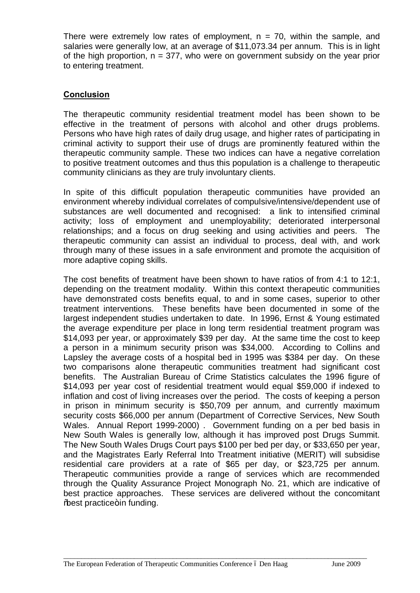There were extremely low rates of employment,  $n = 70$ , within the sample, and salaries were generally low, at an average of \$11,073.34 per annum. This is in light of the high proportion,  $n = 377$ , who were on government subsidy on the year prior to entering treatment.

## **Conclusion**

The therapeutic community residential treatment model has been shown to be effective in the treatment of persons with alcohol and other drugs problems. Persons who have high rates of daily drug usage, and higher rates of participating in criminal activity to support their use of drugs are prominently featured within the therapeutic community sample. These two indices can have a negative correlation to positive treatment outcomes and thus this population is a challenge to therapeutic community clinicians as they are truly involuntary clients.

In spite of this difficult population therapeutic communities have provided an environment whereby individual correlates of compulsive/intensive/dependent use of substances are well documented and recognised: a link to intensified criminal activity; loss of employment and unemployability; deteriorated interpersonal relationships; and a focus on drug seeking and using activities and peers. The therapeutic community can assist an individual to process, deal with, and work through many of these issues in a safe environment and promote the acquisition of more adaptive coping skills.

The cost benefits of treatment have been shown to have ratios of from 4:1 to 12:1, depending on the treatment modality. Within this context therapeutic communities have demonstrated costs benefits equal, to and in some cases, superior to other treatment interventions. These benefits have been documented in some of the largest independent studies undertaken to date. In 1996, Ernst & Young estimated the average expenditure per place in long term residential treatment program was \$14,093 per year, or approximately \$39 per day. At the same time the cost to keep a person in a minimum security prison was \$34,000. According to Collins and Lapsley the average costs of a hospital bed in 1995 was \$384 per day. On these two comparisons alone therapeutic communities treatment had significant cost benefits. The Australian Bureau of Crime Statistics calculates the 1996 figure of \$14,093 per year cost of residential treatment would equal \$59,000 if indexed to inflation and cost of living increases over the period. The costs of keeping a person in prison in minimum security is \$50,709 per annum, and currently maximum security costs \$66,000 per annum (Department of Corrective Services, New South Wales. Annual Report 1999-2000) . Government funding on a per bed basis in New South Wales is generally low, although it has improved post Drugs Summit. The New South Wales Drugs Court pays \$100 per bed per day, or \$33,650 per year, and the Magistrates Early Referral Into Treatment initiative (MERIT) will subsidise residential care providers at a rate of \$65 per day, or \$23,725 per annum. Therapeutic communities provide a range of services which are recommended through the Quality Assurance Project Monograph No. 21, which are indicative of best practice approaches. These services are delivered without the concomitant % hest practice+ in funding.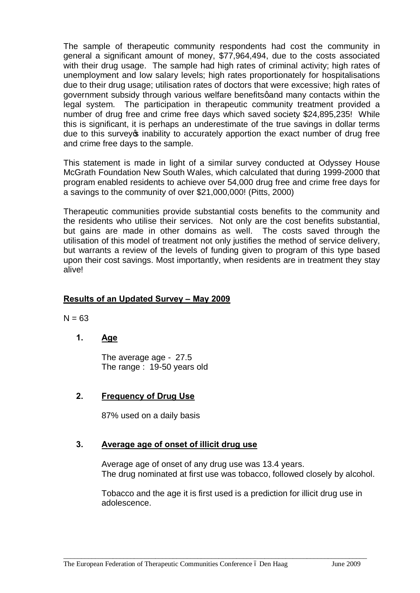The sample of therapeutic community respondents had cost the community in general a significant amount of money, \$77,964,494, due to the costs associated with their drug usage. The sample had high rates of criminal activity; high rates of unemployment and low salary levels; high rates proportionately for hospitalisations due to their drug usage; utilisation rates of doctors that were excessive; high rates of government subsidy through various welfare benefits and many contacts within the legal system. The participation in therapeutic community treatment provided a number of drug free and crime free days which saved society \$24,895,235! While this is significant, it is perhaps an underestimate of the true savings in dollar terms due to this survey op inability to accurately apportion the exact number of drug free and crime free days to the sample.

This statement is made in light of a similar survey conducted at Odyssey House McGrath Foundation New South Wales, which calculated that during 1999-2000 that program enabled residents to achieve over 54,000 drug free and crime free days for a savings to the community of over \$21,000,000! (Pitts, 2000)

Therapeutic communities provide substantial costs benefits to the community and the residents who utilise their services. Not only are the cost benefits substantial, but gains are made in other domains as well. The costs saved through the utilisation of this model of treatment not only justifies the method of service delivery, but warrants a review of the levels of funding given to program of this type based upon their cost savings. Most importantly, when residents are in treatment they stay alive!

#### **Results of an Updated Survey – May 2009**

 $N = 63$ 

# **1. Age**

The average age - 27.5 The range : 19-50 years old

#### **2. Frequency of Drug Use**

87% used on a daily basis

#### **3. Average age of onset of illicit drug use**

Average age of onset of any drug use was 13.4 years. The drug nominated at first use was tobacco, followed closely by alcohol.

Tobacco and the age it is first used is a prediction for illicit drug use in adolescence.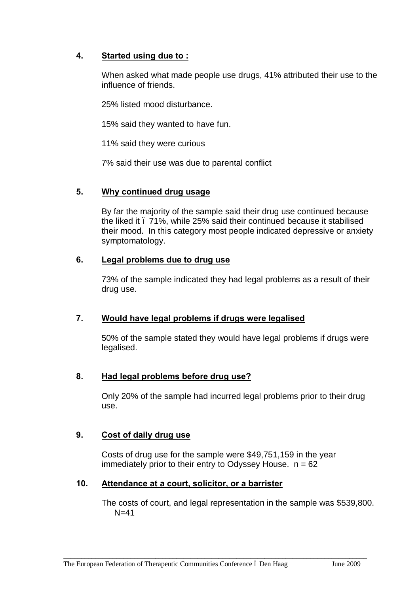# **4. Started using due to :**

When asked what made people use drugs, 41% attributed their use to the influence of friends.

25% listed mood disturbance.

15% said they wanted to have fun.

11% said they were curious

7% said their use was due to parental conflict

#### **5. Why continued drug usage**

By far the majority of the sample said their drug use continued because the liked it – 71%, while 25% said their continued because it stabilised their mood. In this category most people indicated depressive or anxiety symptomatology.

#### **6. Legal problems due to drug use**

73% of the sample indicated they had legal problems as a result of their drug use.

# **7. Would have legal problems if drugs were legalised**

50% of the sample stated they would have legal problems if drugs were legalised.

# **8. Had legal problems before drug use?**

Only 20% of the sample had incurred legal problems prior to their drug use.

# **9. Cost of daily drug use**

Costs of drug use for the sample were \$49,751,159 in the year immediately prior to their entry to Odyssey House.  $n = 62$ 

\_\_\_\_\_\_\_\_\_\_\_\_\_\_\_\_\_\_\_\_\_\_\_\_\_\_\_\_\_\_\_\_\_\_\_\_\_\_\_\_\_\_\_\_\_\_\_\_\_\_\_\_\_\_\_\_\_\_\_\_\_\_\_\_\_\_\_\_\_\_\_\_\_\_\_\_\_\_\_\_\_\_\_\_\_\_

# **10. Attendance at a court, solicitor, or a barrister**

The costs of court, and legal representation in the sample was \$539,800.  $N=41$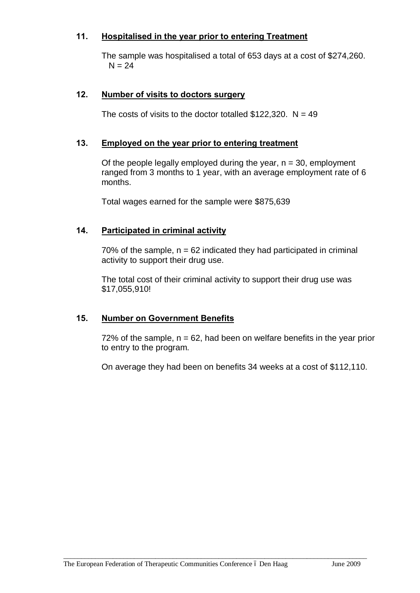## **11. Hospitalised in the year prior to entering Treatment**

The sample was hospitalised a total of 653 days at a cost of \$274,260.  $N = 24$ 

#### **12. Number of visits to doctors surgery**

The costs of visits to the doctor totalled  $$122,320$ . N = 49

#### **13. Employed on the year prior to entering treatment**

Of the people legally employed during the year,  $n = 30$ , employment ranged from 3 months to 1 year, with an average employment rate of 6 months.

Total wages earned for the sample were \$875,639

#### **14. Participated in criminal activity**

70% of the sample,  $n = 62$  indicated they had participated in criminal activity to support their drug use.

The total cost of their criminal activity to support their drug use was \$17,055,910!

#### **15. Number on Government Benefits**

72% of the sample,  $n = 62$ , had been on welfare benefits in the vear prior to entry to the program.

On average they had been on benefits 34 weeks at a cost of \$112,110.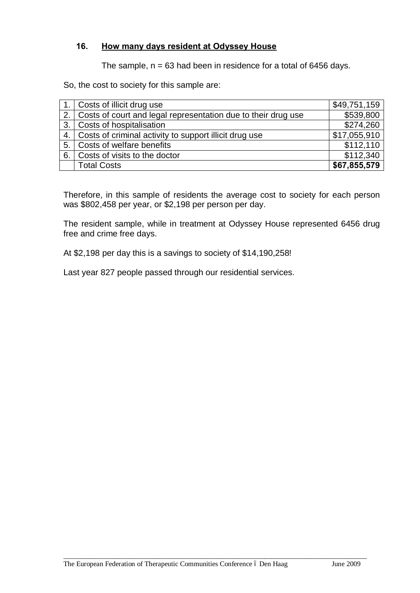# **16. How many days resident at Odyssey House**

The sample,  $n = 63$  had been in residence for a total of 6456 days.

So, the cost to society for this sample are:

|     | 1. Costs of illicit drug use                                     | \$49,751,159 |
|-----|------------------------------------------------------------------|--------------|
|     | 2. Costs of court and legal representation due to their drug use | \$539,800    |
|     | 3. Costs of hospitalisation                                      | \$274,260    |
|     | 4. Costs of criminal activity to support illicit drug use        | \$17,055,910 |
|     | 5. Costs of welfare benefits                                     | \$112,110    |
| 6.1 | Costs of visits to the doctor                                    | \$112,340    |
|     | <b>Total Costs</b>                                               | \$67,855,579 |

Therefore, in this sample of residents the average cost to society for each person was \$802,458 per year, or \$2,198 per person per day.

The resident sample, while in treatment at Odyssey House represented 6456 drug free and crime free days.

At \$2,198 per day this is a savings to society of \$14,190,258!

Last year 827 people passed through our residential services.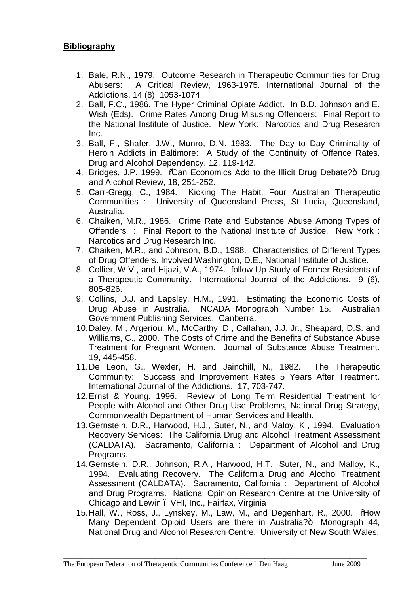# **Bibliography**

- 1. Bale, R.N., 1979. Outcome Research in Therapeutic Communities for Drug Abusers: A Critical Review, 1963-1975. International Journal of the Addictions. 14 (8), 1053-1074.
- 2. Ball, F.C., 1986. The Hyper Criminal Opiate Addict. In B.D. Johnson and E. Wish (Eds). Crime Rates Among Drug Misusing Offenders: Final Report to the National Institute of Justice. New York: Narcotics and Drug Research Inc.
- 3. Ball, F., Shafer, J.W., Munro, D.N. 1983. The Day to Day Criminality of Heroin Addicts in Baltimore: A Study of the Continuity of Offence Rates. Drug and Alcohol Dependency. 12, 119-142.
- 4. Bridges, J.P. 1999. % Can Economics Add to the Illicit Drug Debate?+ Drug and Alcohol Review, 18, 251-252.
- 5. Carr-Gregg, C., 1984. Kicking The Habit, Four Australian Therapeutic Communities : University of Queensland Press, St Lucia, Queensland, Australia.
- 6. Chaiken, M.R., 1986. Crime Rate and Substance Abuse Among Types of Offenders : Final Report to the National Institute of Justice. New York : Narcotics and Drug Research Inc.
- 7. Chaiken, M.R., and Johnson, B.D., 1988. Characteristics of Different Types of Drug Offenders. Involved Washington, D.E., National Institute of Justice.
- 8. Collier, W.V., and Hijazi, V.A., 1974. follow Up Study of Former Residents of a Therapeutic Community. International Journal of the Addictions. 9 (6), 805-826.
- 9. Collins, D.J. and Lapsley, H.M., 1991. Estimating the Economic Costs of Drug Abuse in Australia. NCADA Monograph Number 15. Australian Government Publishing Services. Canberra.
- 10.Daley, M., Argeriou, M., McCarthy, D., Callahan, J.J. Jr., Sheapard, D.S. and Williams, C., 2000. The Costs of Crime and the Benefits of Substance Abuse Treatment for Pregnant Women. Journal of Substance Abuse Treatment. 19, 445-458.
- 11.De Leon, G., Wexler, H. and Jainchill, N., 1982. The Therapeutic Community: Success and Improvement Rates 5 Years After Treatment. International Journal of the Addictions. 17, 703-747.
- 12.Ernst & Young. 1996. Review of Long Term Residential Treatment for People with Alcohol and Other Drug Use Problems, National Drug Strategy, Commonwealth Department of Human Services and Health.
- 13.Gernstein, D.R., Harwood, H.J., Suter, N., and Maloy, K., 1994. Evaluation Recovery Services: The California Drug and Alcohol Treatment Assessment (CALDATA). Sacramento, California : Department of Alcohol and Drug Programs.
- 14.Gernstein, D.R., Johnson, R.A., Harwood, H.T., Suter, N., and Malloy, K., 1994. Evaluating Recovery. The California Drug and Alcohol Treatment Assessment (CALDATA). Sacramento, California : Department of Alcohol and Drug Programs. National Opinion Research Centre at the University of Chicago and Lewin – VHI, Inc., Fairfax, Virginia
- 15. Hall, W., Ross, J., Lynskey, M., Law, M., and Degenhart, R., 2000. %How Many Dependent Opioid Users are there in Australia?+ Monograph 44, National Drug and Alcohol Research Centre. University of New South Wales.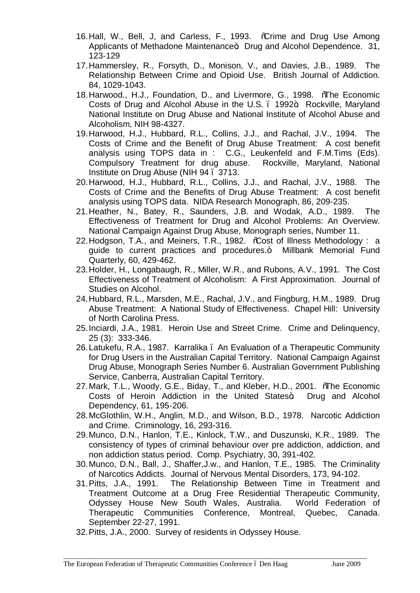- 16. Hall, W., Bell, J, and Carless, F., 1993. % Trime and Drug Use Among Applicants of Methadone Maintenance+ Drug and Alcohol Dependence. 31, 123-129
- 17.Hammersley, R., Forsyth, D., Monison, V., and Davies, J.B., 1989. The Relationship Between Crime and Opioid Use. British Journal of Addiction. 84, 1029-1043.
- 18. Harwood., H.J., Foundation, D., and Livermore, G., 1998. %The Economic Costs of Drug and Alcohol Abuse in the U.S., 1992<sup>+</sup>. Rockville, Maryland National Institute on Drug Abuse and National Institute of Alcohol Abuse and Alcoholism, NIH 98-4327.
- 19.Harwood, H.J., Hubbard, R.L., Collins, J.J., and Rachal, J.V., 1994. The Costs of Crime and the Benefit of Drug Abuse Treatment: A cost benefit analysis using TOPS data in : C.G., Leukenfeld and F.M.Tims (Eds). Compulsory Treatment for drug abuse. Rockville, Maryland, National Institute on Drug Abuse (NIH 94 – 3713.
- 20.Harwood, H.J., Hubbard, R.L., Collins, J.J., and Rachal, J.V., 1988. The Costs of Crime and the Benefits of Drug Abuse Treatment: A cost benefit analysis using TOPS data. NIDA Research Monograph, 86, 209-235.
- 21.Heather, N., Batey, R., Saunders, J.B. and Wodak, A.D., 1989. The Effectiveness of Treatment for Drug and Alcohol Problems: An Overview. National Campaign Against Drug Abuse, Monograph series, Number 11.
- 22. Hodgson, T.A., and Meiners, T.R., 1982. % Cost of Illness Methodology: a guide to current practices and procedures.+ Millbank Memorial Fund Quarterly, 60, 429-462.
- 23.Holder, H., Longabaugh, R., Miller, W.R., and Rubons, A.V., 1991. The Cost Effectiveness of Treatment of Alcoholism: A First Approximation. Journal of Studies on Alcohol.
- 24.Hubbard, R.L., Marsden, M.E., Rachal, J.V., and Fingburg, H.M., 1989. Drug Abuse Treatment: A National Study of Effectiveness. Chapel Hill: University of North Carolina Press.
- 25.Inciardi, J.A., 1981. Heroin Use and Street Crime. Crime and Delinquency, 25 (3): 333-346.
- 26. Latukefu, R.A., 1987. Karralika . An Evaluation of a Therapeutic Community for Drug Users in the Australian Capital Territory. National Campaign Against Drug Abuse, Monograph Series Number 6. Australian Government Publishing Service, Canberra, Australian Capital Territory.
- 27. Mark, T.L., Woody, G.E., Biday, T., and Kleber, H.D., 2001. %The Economic Costs of Heroin Addiction in the United States+ Drug and Alcohol Dependency, 61, 195-206.
- 28.McGlothlin, W.H., Anglin, M.D., and Wilson, B.D., 1978. Narcotic Addiction and Crime. Criminology, 16, 293-316.
- 29.Munco, D.N., Hanlon, T.E., Kinlock, T.W., and Duszunski, K.R., 1989. The consistency of types of criminal behaviour over pre addiction, addiction, and non addiction status period. Comp. Psychiatry, 30, 391-402.
- 30.Munco, D.N., Ball, J., Shaffer,J.w., and Hanlon, T.E., 1985. The Criminality of Narcotics Addicts. Journal of Nervous Mental Disorders, 173, 94-102.
- 31.Pitts, J.A., 1991. The Relationship Between Time in Treatment and Treatment Outcome at a Drug Free Residential Therapeutic Community, Odyssey House New South Wales, Australia. World Federation of Therapeutic Communities Conference, Montreal, Quebec, Canada. September 22-27, 1991.

\_\_\_\_\_\_\_\_\_\_\_\_\_\_\_\_\_\_\_\_\_\_\_\_\_\_\_\_\_\_\_\_\_\_\_\_\_\_\_\_\_\_\_\_\_\_\_\_\_\_\_\_\_\_\_\_\_\_\_\_\_\_\_\_\_\_\_\_\_\_\_\_\_\_\_\_\_\_\_\_\_\_\_\_\_\_

32.Pitts, J.A., 2000. Survey of residents in Odyssey House.